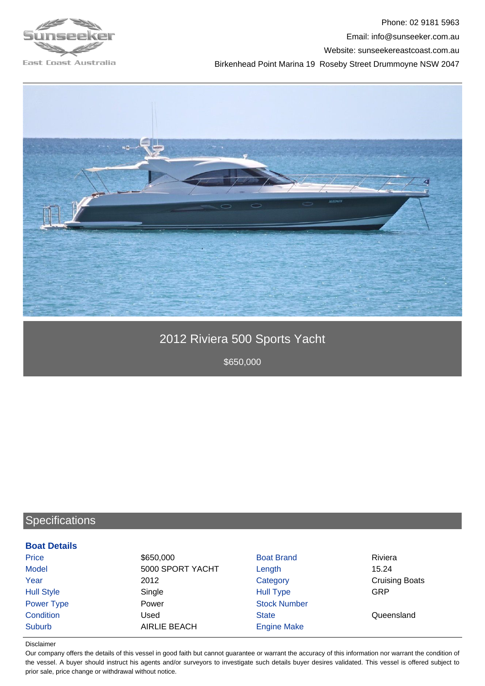

Phone: 02 9181 5963 Email: info@sunseeker.com.au Website: sunseekereastcoast.com.au Birkenhead Point Marina 19 Roseby Street Drummoyne NSW 2047



# 2012 Riviera 500 Sports Yacht

\$650,000

## **Specifications**

#### **Boat Details**

| Price             | \$650,000           | <b>Boat Brand</b>   | Riviera               |
|-------------------|---------------------|---------------------|-----------------------|
| <b>Model</b>      | 5000 SPORT YACHT    | Length              | 15.24                 |
| Year              | 2012                | Category            | <b>Cruising Boats</b> |
| <b>Hull Style</b> | Single              | <b>Hull Type</b>    | GRP                   |
| Power Type        | Power               | <b>Stock Number</b> |                       |
| Condition         | Used                | <b>State</b>        | Queensland            |
| Suburb            | <b>AIRLIE BEACH</b> | <b>Engine Make</b>  |                       |

#### Disclaimer

Our company offers the details of this vessel in good faith but cannot guarantee or warrant the accuracy of this information nor warrant the condition of the vessel. A buyer should instruct his agents and/or surveyors to investigate such details buyer desires validated. This vessel is offered subject to prior sale, price change or withdrawal without notice.